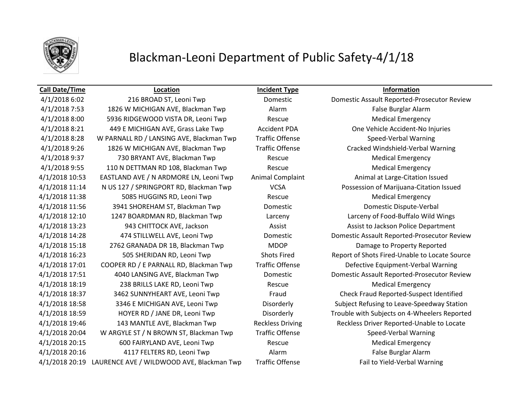

## Blackman-Leoni Department of Public Safety-4/1/18

### **Call Date/Time Location Incident Type Information**

4/1/2018 7:53 1826 W MICHIGAN AVE, Blackman Twp Alarm Alarm False Burglar Alarm 4/1/2018 8:00 5936 RIDGEWOOD VISTA DR, Leoni Twp Rescue Rescue Medical Emergency 4/1/2018 8:21 449 E MICHIGAN AVE, Grass Lake Twp Accident PDA One Vehicle Accident-No Injuries 4/1/2018 8:28 W PARNALL RD / LANSING AVE, Blackman Twp Traffic Offense Speed-Verbal Warning 4/1/2018 9:26 1826 W MICHIGAN AVE, Blackman Twp Traffic Offense Cracked Windshield-Verbal Warning A/1/2018 9:37 **730 BRYANT AVE, Blackman Twp** Rescue Rescue Medical Emergency 4/1/2018 9:55 110 N DETTMAN RD 108, Blackman Twp Rescue Rescue Medical Emergency 4/1/2018 10:53 EASTLAND AVE / N ARDMORE LN, Leoni Twp Animal Complaint Animal at Large-Citation Issued 4/1/2018 11:14 N US 127 / SPRINGPORT RD, Blackman Twp VCSA Possession of Marijuana-Citation Issued A/1/2018 11:38 5085 HUGGINS RD, Leoni Twp Rescue Rescue Medical Emergency 4/1/2018 11:56 3941 SHOREHAM ST, Blackman Twp Domestic Domestic Dispute-Verbal 4/1/2018 12:10 1247 BOARDMAN RD, Blackman Twp Larceny Larceny of Food-Buffalo Wild Wings 4/1/2018 13:23 943 CHITTOCK AVE, Jackson Assist Assist to Jackson Police Department 4/1/2018 15:18 2762 GRANADA DR 1B, Blackman Twp MDOP Damage to Property Reported 4/1/2018 17:01 COOPER RD / E PARNALL RD, Blackman Twp Traffic Offense Defective Equipment-Verbal Warning A/1/2018 18:19 238 BRILLS LAKE RD, Leoni Twp Rescue Rescue Medical Emergency 4/1/2018 20:04 W ARGYLE ST / N BROWN ST, Blackman Twp Traffic Offense Speed-Verbal Warning 4/1/2018 20:15 600 FAIRYLAND AVE, Leoni Twp Rescue Medical Emergency 4/1/2018 20:16 4117 FELTERS RD, Leoni Twp Alarm Alarm False Burglar Alarm 4/1/2018 20:19 LAURENCE AVE / WILDWOOD AVE, Blackman Twp Traffic Offense Fail to Yield-Verbal Warning

4/1/2018 6:02 216 BROAD ST, Leoni Twp Domestic Domestic Assault Reported-Prosecutor Review 4/1/2018 14:28 474 STILLWELL AVE, Leoni Twp Domestic Domestic Assault Reported-Prosecutor Review 4/1/2018 16:23 505 SHERIDAN RD, Leoni Twp Shots Fired Report of Shots Fired-Unable to Locate Source 4/1/2018 17:51 4040 LANSING AVE, Blackman Twp Domestic Domestic Assault Reported-Prosecutor Review 4/1/2018 18:37 3462 SUNNYHEART AVE, Leoni Twp Fraud Check Fraud Reported-Suspect Identified 4/1/2018 18:58 3346 E MICHIGAN AVE, Leoni Twp Disorderly Subject Refusing to Leave-Speedway Station 4/1/2018 18:59 HOYER RD / JANE DR, Leoni Twp Disorderly Trouble with Subjects on 4-Wheelers Reported 4/1/2018 19:46 143 MANTLE AVE, Blackman Twp Reckless Driving Reckless Driver Reported-Unable to Locate